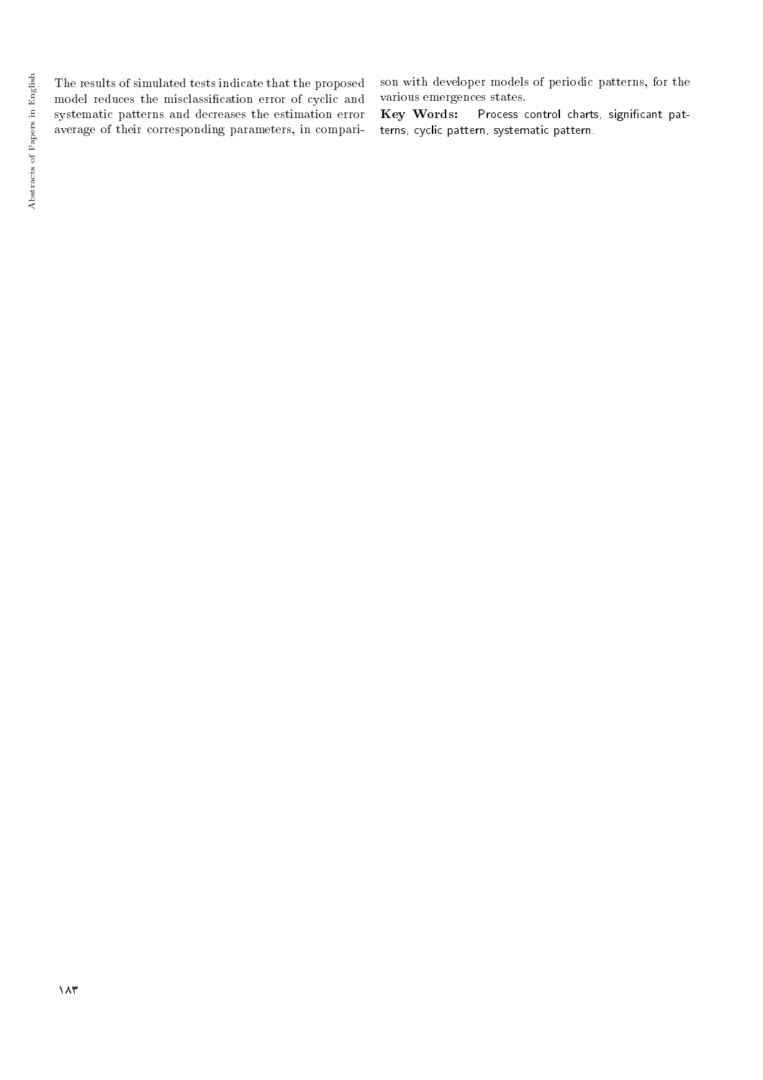The results of simulated tests indicate that the proposed model reduces the misclassication error of cyclic and systematic patterns and decreases the estimation error average of their corresponding parameters, in comparison with developer models of periodic patterns, for the various emergences states.

Key Words: Process control charts, significant patterns, cyclic pattern, systematic pattern.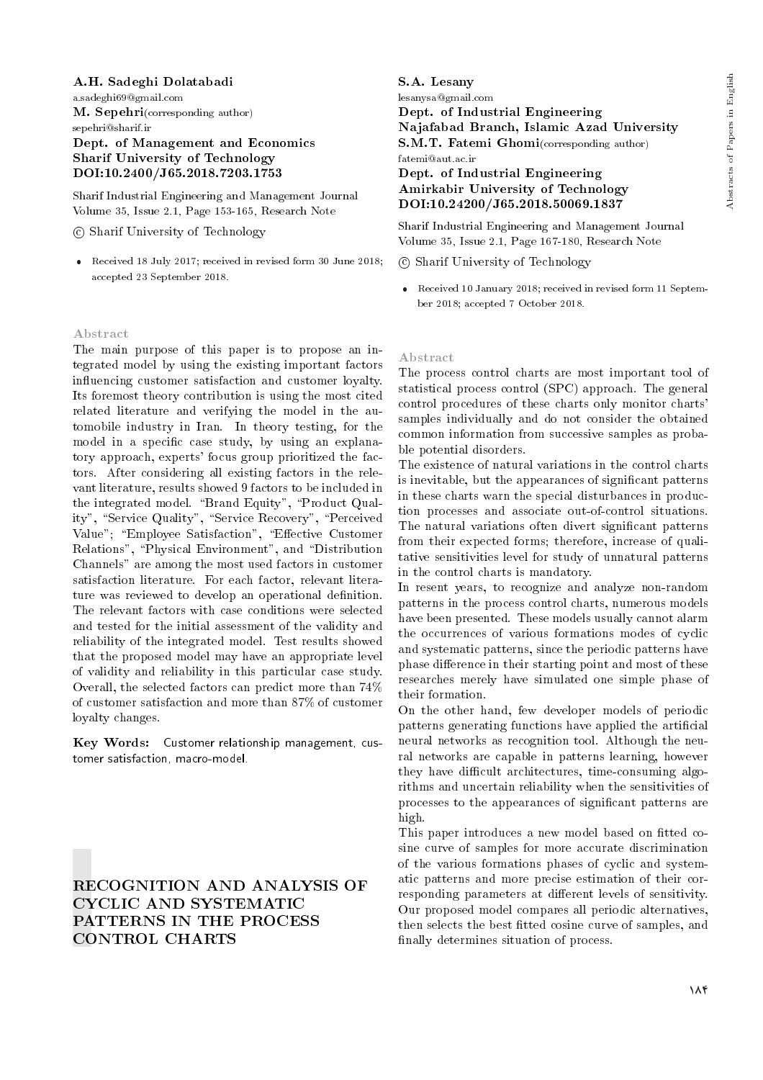### A.H. Sadeghi Dolatabadi

a.sadeghi69@gmail.com M. Sepehri(corresponding author) sepehri@sharif.ir Dept. of Management and Economics Sharif University of Technology DOI:10.2400/J65.2018.7203.1753

Sharif Industrial Engineering and Management Journal Volume 35, Issue 2.1, Page 153-165, Research Note

c Sharif University of Technology

 Received 18 July 2017; received in revised form 30 June 2018; accepted 23 September 2018.

#### Abstract

The main purpose of this paper is to propose an integrated model by using the existing important factors in
uencing customer satisfaction and customer loyalty. Its foremost theory contribution is using the most cited related literature and verifying the model in the automobile industry in Iran. In theory testing, for the model in a specific case study, by using an explanatory approach, experts' focus group prioritized the factors. After considering all existing factors in the relevant literature, results showed 9 factors to be included in the integrated model. "Brand Equity", "Product Quality", "Service Quality", "Service Recovery", "Perceived Value"; "Employee Satisfaction", "Effective Customer Relations", "Physical Environment", and "Distribution Channels" are among the most used factors in customer satisfaction literature. For each factor, relevant literature was reviewed to develop an operational definition. The relevant factors with case conditions were selected and tested for the initial assessment of the validity and reliability of the integrated model. Test results showed that the proposed model may have an appropriate level of validity and reliability in this particular case study. Overall, the selected factors can predict more than 74% of customer satisfaction and more than 87% of customer loyalty changes.

Key Words: Customer relationship management, customer satisfaction, macro-model.

RECOGNITION AND ANALYSIS OF CYCLIC AND SYSTEMATIC PATTERNS IN THE PROCESS CONTROL CHARTS

S.A. Lesany lesanysa@gmail.com Dept. of Industrial Engineering

Najafabad Branch, Islamic Azad University S.M.T. Fatemi Ghomi(corresponding author) fatemi@aut.ac.ir

### Dept. of Industrial Engineering Amirkabir University of Technology DOI:10.24200/J65.2018.50069.1837

Sharif Industrial Engineering and Management Journal Volume 35, Issue 2.1, Page 167-180, Research Note

c Sharif University of Technology

 Received 10 January 2018; received in revised form 11 September 2018; accepted 7 October 2018.

#### Abstract

The process control charts are most important tool of statistical process control (SPC) approach. The general control procedures of these charts only monitor charts' samples individually and do not consider the obtained common information from successive samples as probable potential disorders.

The existence of natural variations in the control charts is inevitable, but the appearances of signicant patterns in these charts warn the special disturbances in production processes and associate out-of-control situations. The natural variations often divert signicant patterns from their expected forms; therefore, increase of qualitative sensitivities level for study of unnatural patterns in the control charts is mandatory.

In resent years, to recognize and analyze non-random patterns in the process control charts, numerous models have been presented. These models usually cannot alarm the occurrences of various formations modes of cyclic and systematic patterns, since the periodic patterns have phase difference in their starting point and most of these researches merely have simulated one simple phase of their formation.

On the other hand, few developer models of periodic patterns generating functions have applied the articial neural networks as recognition tool. Although the neural networks are capable in patterns learning, however they have difficult architectures, time-consuming algorithms and uncertain reliability when the sensitivities of processes to the appearances of signicant patterns are high.

This paper introduces a new model based on fitted cosine curve of samples for more accurate discrimination of the various formations phases of cyclic and systematic patterns and more precise estimation of their corresponding parameters at different levels of sensitivity. Our proposed model compares all periodic alternatives, then selects the best fitted cosine curve of samples, and finally determines situation of process.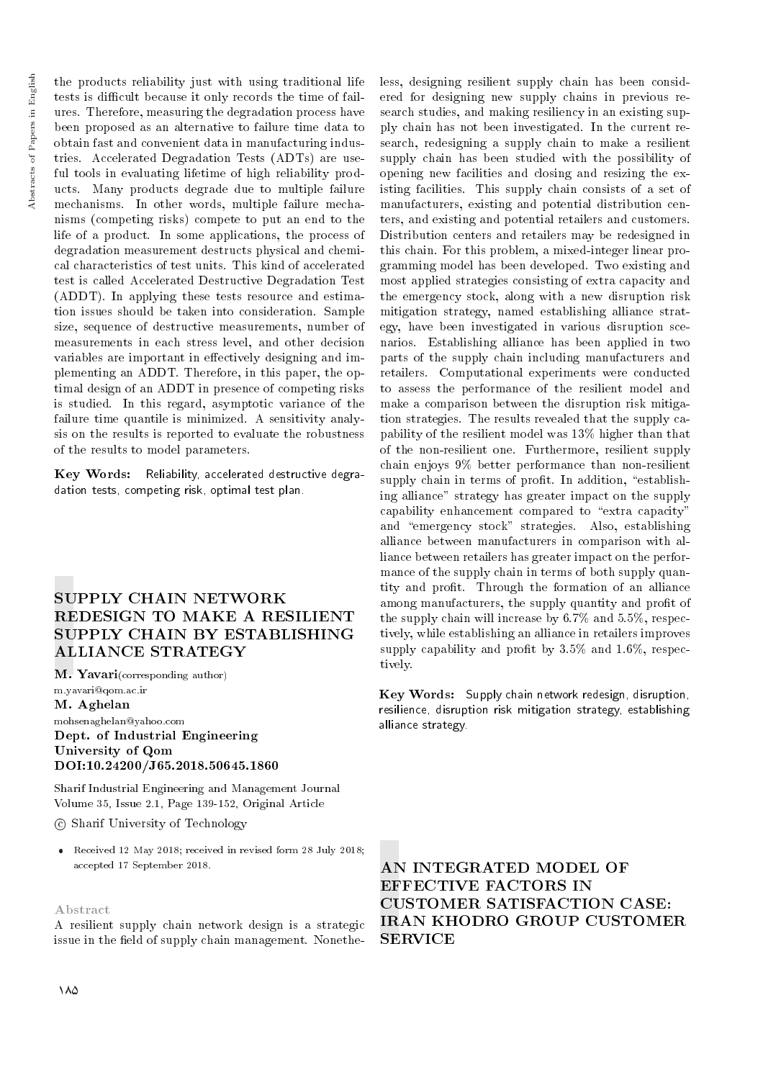the products reliability just with using traditional life tests is difficult because it only records the time of failures. Therefore, measuring the degradation process have been proposed as an alternative to failure time data to obtain fast and convenient data in manufacturing industries. Accelerated Degradation Tests (ADTs) are useful tools in evaluating lifetime of high reliability products. Many products degrade due to multiple failure mechanisms. In other words, multiple failure mechanisms (competing risks) compete to put an end to the life of a product. In some applications, the process of degradation measurement destructs physical and chemical characteristics of test units. This kind of accelerated test is called Accelerated Destructive Degradation Test (ADDT). In applying these tests resource and estimation issues should be taken into consideration. Sample size, sequence of destructive measurements, number of measurements in each stress level, and other decision variables are important in effectively designing and implementing an ADDT. Therefore, in this paper, the optimal design of an ADDT in presence of competing risks is studied. In this regard, asymptotic variance of the failure time quantile is minimized. A sensitivity analysis on the results is reported to evaluate the robustness of the results to model parameters.

Key Words: Reliability, accelerated destructive degradation tests, competing risk, optimal test plan.

# SUPPLY CHAIN NETWORK REDESIGN TO MAKE A RESILIENT SUPPLY CHAIN BY ESTABLISHING ALLIANCE STRATEGY

M. Yavari(corresponding author)

m.yavari@qom.ac.ir M. Aghelan mohsenaghelan@yahoo.com Dept. of Industrial Engineering University of Qom DOI:10.24200/J65.2018.50645.1860

Sharif Industrial Engineering and Management Journal Volume 35, Issue 2.1, Page 139-152, Original Article

c Sharif University of Technology

 Received 12 May 2018; received in revised form 28 July 2018; accepted 17 September 2018.

#### Abstract

A resilient supply chain network design is a strategic issue in the field of supply chain management. Nonetheless, designing resilient supply chain has been considered for designing new supply chains in previous research studies, and making resiliency in an existing supply chain has not been investigated. In the current research, redesigning a supply chain to make a resilient supply chain has been studied with the possibility of opening new facilities and closing and resizing the existing facilities. This supply chain consists of a set of manufacturers, existing and potential distribution centers, and existing and potential retailers and customers. Distribution centers and retailers may be redesigned in this chain. For this problem, a mixed-integer linear programming model has been developed. Two existing and most applied strategies consisting of extra capacity and the emergency stock, along with a new disruption risk mitigation strategy, named establishing alliance strategy, have been investigated in various disruption scenarios. Establishing alliance has been applied in two parts of the supply chain including manufacturers and retailers. Computational experiments were conducted to assess the performance of the resilient model and make a comparison between the disruption risk mitigation strategies. The results revealed that the supply capability of the resilient model was 13% higher than that of the non-resilient one. Furthermore, resilient supply chain enjoys 9% better performance than non-resilient supply chain in terms of profit. In addition, "establishing alliance" strategy has greater impact on the supply capability enhancement compared to "extra capacity" and "emergency stock" strategies. Also, establishing alliance between manufacturers in comparison with alliance between retailers has greater impact on the performance of the supply chain in terms of both supply quantity and prot. Through the formation of an alliance among manufacturers, the supply quantity and profit of the supply chain will increase by 6.7% and 5.5%, respectively, while establishing an alliance in retailers improves supply capability and profit by  $3.5\%$  and  $1.6\%$ , respectively.

Key Words: Supply chain network redesign, disruption, resilience, disruption risk mitigation strategy, establishing alliance strategy.

AN INTEGRATED MODEL OF EFFECTIVE FACTORS IN CUSTOMER SATISFACTION CASE: IRAN KHODRO GROUP CUSTOMER **SERVICE**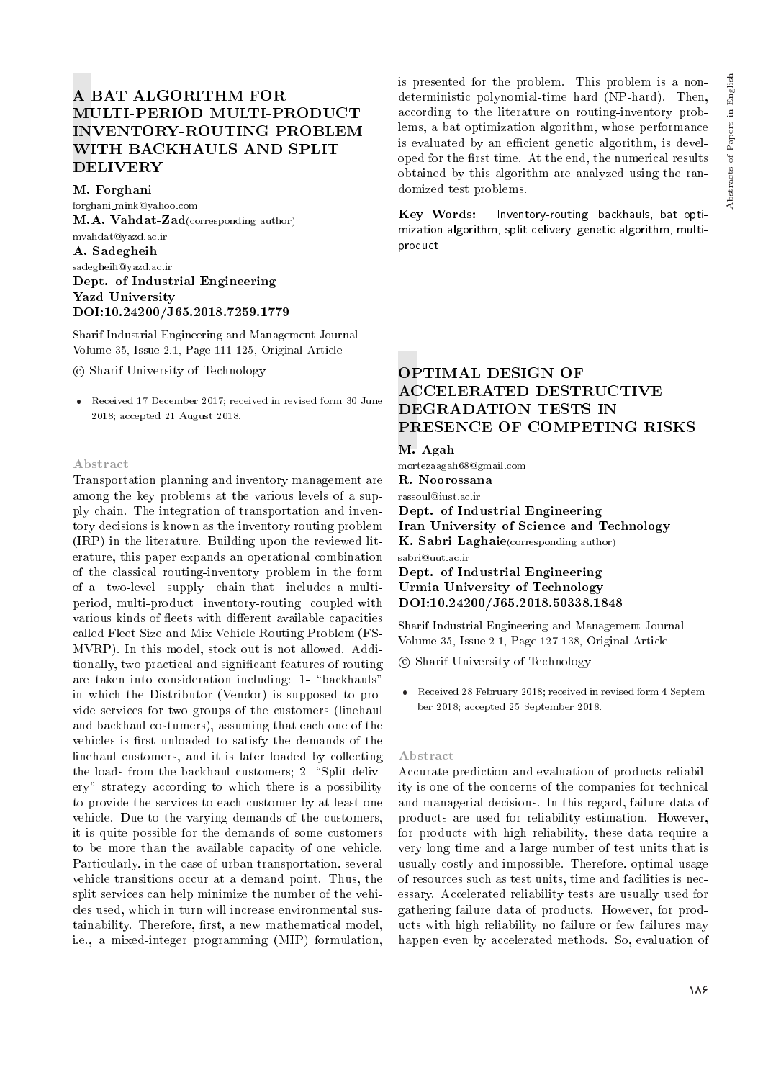# MULTI-PERIOD MULTI-PRODUCT INVENTORY-ROUTING PROBLEM WITH BACKHAULS AND SPLIT DELIVERY A BAT ALGORITHM FOR

M. Forghani

forghani mink@yahoo.com M.A. Vahdat-Zad(corresponding author) mvahdat@yazd.ac.ir A. Sadegheih sadegheih@yazd.ac.ir Dept. of Industrial Engineering Yazd University DOI:10.24200/J65.2018.7259.1779

Sharif Industrial Engineering and Management Journal Volume 35, Issue 2.1, Page 111-125, Original Article

c Sharif University of Technology

 Received 17 December 2017; received in revised form 30 June 2018; accepted 21 August 2018.

#### Abstract

Transportation planning and inventory management are among the key problems at the various levels of a supply chain. The integration of transportation and inventory decisions is known as the inventory routing problem (IRP) in the literature. Building upon the reviewed literature, this paper expands an operational combination of the classical routing-inventory problem in the form of a two-level supply chain that includes a multiperiod, multi-product inventory-routing coupled with various kinds of fleets with different available capacities called Fleet Size and Mix Vehicle Routing Problem (FS-MVRP). In this model, stock out is not allowed. Additionally, two practical and signicant features of routing are taken into consideration including: 1- "backhauls" in which the Distributor (Vendor) is supposed to provide services for two groups of the customers (linehaul and backhaul costumers), assuming that each one of the vehicles is first unloaded to satisfy the demands of the linehaul customers, and it is later loaded by collecting the loads from the backhaul customers;  $2$ - "Split delivery" strategy according to which there is a possibility to provide the services to each customer by at least one vehicle. Due to the varying demands of the customers, it is quite possible for the demands of some customers to be more than the available capacity of one vehicle. Particularly, in the case of urban transportation, several vehicle transitions occur at a demand point. Thus, the split services can help minimize the number of the vehicles used, which in turn will increase environmental sustainability. Therefore, first, a new mathematical model, i.e., a mixed-integer programming (MIP) formulation, is presented for the problem. This problem is a nondeterministic polynomial-time hard (NP-hard). Then, according to the literature on routing-inventory problems, a bat optimization algorithm, whose performance is evaluated by an efficient genetic algorithm, is developed for the first time. At the end, the numerical results obtained by this algorithm are analyzed using the randomized test problems.

Key Words: Inventory-routing, backhauls, bat optimization algorithm, split delivery, genetic algorithm, multiproduct.

# OPTIMAL DESIGN OF ACCELERATED DESTRUCTIVE DEGRADATION TESTS IN PRESENCE OF COMPETING RISKS

### M. Agah

mortezaagah68@gmail.com

R. Noorossana

rassoul@iust.ac.ir

Dept. of Industrial Engineering Iran University of Science and Technology K. Sabri Laghaie(corresponding author) sabri@uut.ac.ir Dept. of Industrial Engineering Urmia University of Technology

DOI:10.24200/J65.2018.50338.1848

Sharif Industrial Engineering and Management Journal Volume 35, Issue 2.1, Page 127-138, Original Article

- c Sharif University of Technology
- Received 28 February 2018; received in revised form 4 September 2018; accepted 25 September 2018.

#### Abstract

Accurate prediction and evaluation of products reliability is one of the concerns of the companies for technical and managerial decisions. In this regard, failure data of products are used for reliability estimation. However, for products with high reliability, these data require a very long time and a large number of test units that is usually costly and impossible. Therefore, optimal usage of resources such as test units, time and facilities is necessary. Accelerated reliability tests are usually used for gathering failure data of products. However, for products with high reliability no failure or few failures may happen even by accelerated methods. So, evaluation of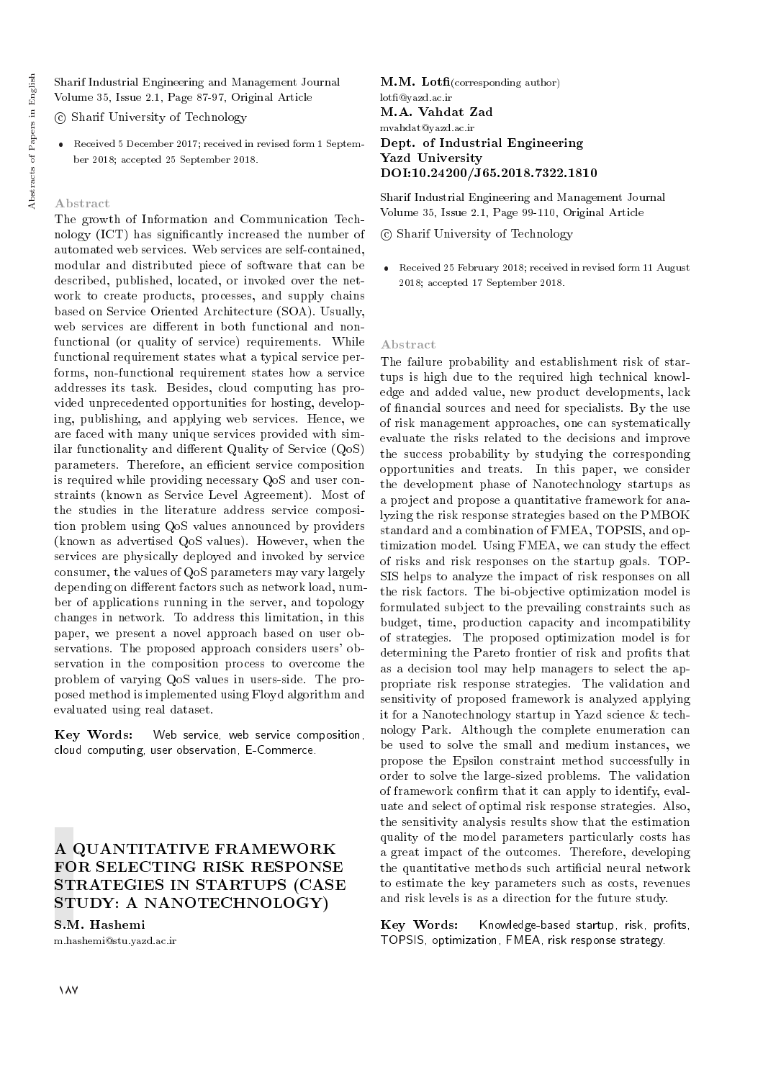Sharif Industrial Engineering and Management Journal Volume 35, Issue 2.1, Page 87-97, Original Article

c Sharif University of Technology

 Received 5 December 2017; received in revised form 1 September 2018; accepted 25 September 2018.

### Abstract

The growth of Information and Communication Technology (ICT) has signicantly increased the number of automated web services. Web services are self-contained, modular and distributed piece of software that can be described, published, located, or invoked over the network to create products, processes, and supply chains based on Service Oriented Architecture (SOA). Usually, web services are different in both functional and nonfunctional (or quality of service) requirements. While functional requirement states what a typical service performs, non-functional requirement states how a service addresses its task. Besides, cloud computing has provided unprecedented opportunities for hosting, developing, publishing, and applying web services. Hence, we are faced with many unique services provided with similar functionality and different Quality of Service  $(QoS)$ parameters. Therefore, an efficient service composition is required while providing necessary QoS and user constraints (known as Service Level Agreement). Most of the studies in the literature address service composition problem using QoS values announced by providers (known as advertised QoS values). However, when the services are physically deployed and invoked by service consumer, the values of QoS parameters may vary largely depending on different factors such as network load, number of applications running in the server, and topology changes in network. To address this limitation, in this paper, we present a novel approach based on user observations. The proposed approach considers users' observation in the composition process to overcome the problem of varying QoS values in users-side. The proposed method is implemented using Floyd algorithm and evaluated using real dataset.

Key Words: Web service, web service composition, cloud computing, user observation, E-Commerce.

# A QUANTITATIVE FRAMEWORK FOR SELECTING RISK RESPONSE STRATEGIES IN STARTUPS (CASE STUDY: A NANOTECHNOLOGY)

S.M. Hashemi m.hashemi@stu.yazd.ac.ir

 $M.M.$  Lotfi(corresponding author) lot@yazd.ac.ir M.A. Vahdat Zad mvahdat@yazd.ac.ir Dept. of Industrial Engineering Yazd University DOI:10.24200/J65.2018.7322.1810

Sharif Industrial Engineering and Management Journal Volume 35, Issue 2.1, Page 99-110, Original Article

c Sharif University of Technology

 Received 25 February 2018; received in revised form 11 August 2018; accepted 17 September 2018.

#### Abstract

The failure probability and establishment risk of startups is high due to the required high technical knowledge and added value, new product developments, lack of nancial sources and need for specialists. By the use of risk management approaches, one can systematically evaluate the risks related to the decisions and improve the success probability by studying the corresponding opportunities and treats. In this paper, we consider the development phase of Nanotechnology startups as a project and propose a quantitative framework for analyzing the risk response strategies based on the PMBOK standard and a combination of FMEA, TOPSIS, and optimization model. Using FMEA, we can study the effect of risks and risk responses on the startup goals. TOP-SIS helps to analyze the impact of risk responses on all the risk factors. The bi-objective optimization model is formulated subject to the prevailing constraints such as budget, time, production capacity and incompatibility of strategies. The proposed optimization model is for determining the Pareto frontier of risk and profits that as a decision tool may help managers to select the appropriate risk response strategies. The validation and sensitivity of proposed framework is analyzed applying it for a Nanotechnology startup in Yazd science & technology Park. Although the complete enumeration can be used to solve the small and medium instances, we propose the Epsilon constraint method successfully in order to solve the large-sized problems. The validation of framework confirm that it can apply to identify, evaluate and select of optimal risk response strategies. Also, the sensitivity analysis results show that the estimation quality of the model parameters particularly costs has a great impact of the outcomes. Therefore, developing the quantitative methods such articial neural network to estimate the key parameters such as costs, revenues and risk levels is as a direction for the future study.

Key Words: Knowledge-based startup, risk, profits, TOPSIS, optimization, FMEA, risk response strategy.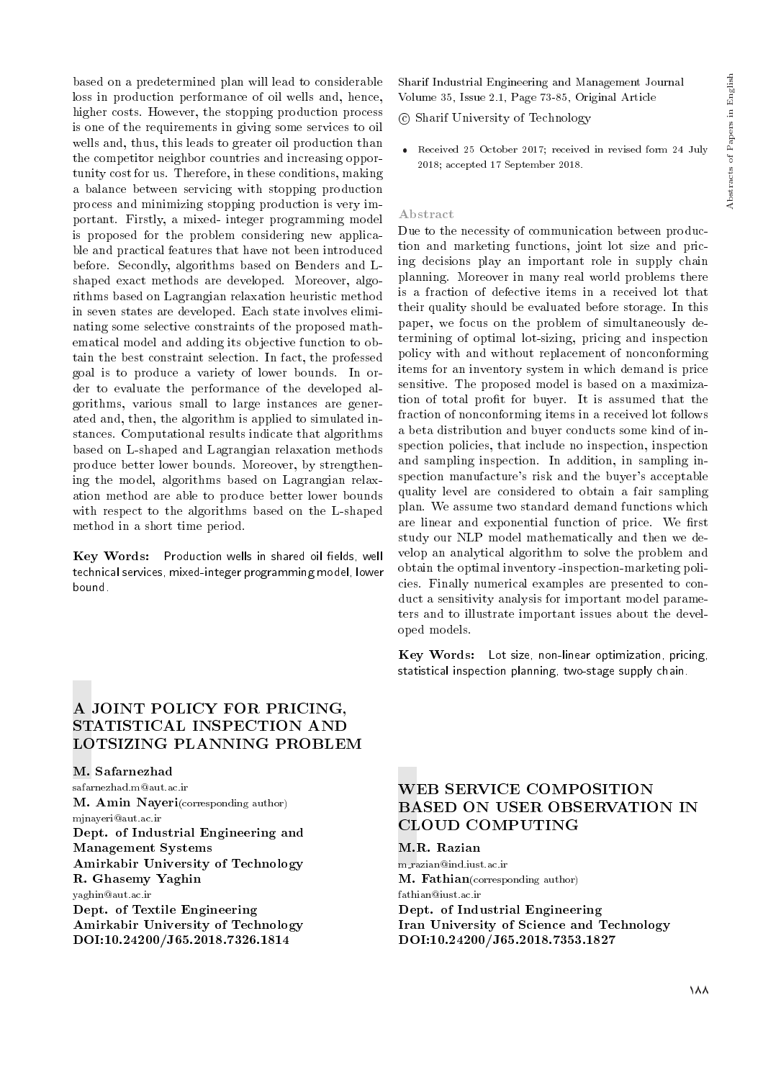based on a predetermined plan will lead to considerable loss in production performance of oil wells and, hence, higher costs. However, the stopping production process is one of the requirements in giving some services to oil wells and, thus, this leads to greater oil production than the competitor neighbor countries and increasing opportunity cost for us. Therefore, in these conditions, making a balance between servicing with stopping production process and minimizing stopping production is very important. Firstly, a mixed- integer programming model is proposed for the problem considering new applicable and practical features that have not been introduced before. Secondly, algorithms based on Benders and Lshaped exact methods are developed. Moreover, algorithms based on Lagrangian relaxation heuristic method in seven states are developed. Each state involves eliminating some selective constraints of the proposed mathematical model and adding its objective function to obtain the best constraint selection. In fact, the professed goal is to produce a variety of lower bounds. In order to evaluate the performance of the developed algorithms, various small to large instances are generated and, then, the algorithm is applied to simulated instances. Computational results indicate that algorithms based on L-shaped and Lagrangian relaxation methods produce better lower bounds. Moreover, by strengthening the model, algorithms based on Lagrangian relaxation method are able to produce better lower bounds with respect to the algorithms based on the L-shaped method in a short time period.

Key Words: Production wells in shared oil fields, well technical services, mixed-integer programming model, lower bound.

Sharif Industrial Engineering and Management Journal Volume 35, Issue 2.1, Page 73-85, Original Article

c Sharif University of Technology

 Received 25 October 2017; received in revised form 24 July 2018; accepted 17 September 2018.

#### Abstract

Due to the necessity of communication between production and marketing functions, joint lot size and pricing decisions play an important role in supply chain planning. Moreover in many real world problems there is a fraction of defective items in a received lot that their quality should be evaluated before storage. In this paper, we focus on the problem of simultaneously determining of optimal lot-sizing, pricing and inspection policy with and without replacement of nonconforming items for an inventory system in which demand is price sensitive. The proposed model is based on a maximization of total profit for buyer. It is assumed that the fraction of nonconforming items in a received lot follows a beta distribution and buyer conducts some kind of inspection policies, that include no inspection, inspection and sampling inspection. In addition, in sampling inspection manufacture's risk and the buyer's acceptable quality level are considered to obtain a fair sampling plan. We assume two standard demand functions which are linear and exponential function of price. We first study our NLP model mathematically and then we develop an analytical algorithm to solve the problem and obtain the optimal inventory -inspection-marketing policies. Finally numerical examples are presented to conduct a sensitivity analysis for important model parameters and to illustrate important issues about the developed models.

Key Words: Lot size, non-linear optimization, pricing, statistical inspection planning, two-stage supply chain.

# A JOINT POLICY FOR PRICING, STATISTICAL INSPECTION AND LOTSIZING PLANNING PROBLEM

M. Safarnezhad safarnezhad.m@aut.ac.ir M. Amin Nayeri(corresponding author) mjnayeri@aut.ac.ir Dept. of Industrial Engineering and Management Systems Amirkabir University of Technology R. Ghasemy Yaghin yaghin@aut.ac.ir Dept. of Textile Engineering Amirkabir University of Technology DOI:10.24200/J65.2018.7326.1814

# WEB SERVICE COMPOSITION BASED ON USER OBSERVATION IN CLOUD COMPUTING

M.R. Razian m razian@ind.iust.ac.ir M. Fathian(corresponding author) fathian@iust.ac.ir Dept. of Industrial Engineering Iran University of Science and Technology DOI:10.24200/J65.2018.7353.1827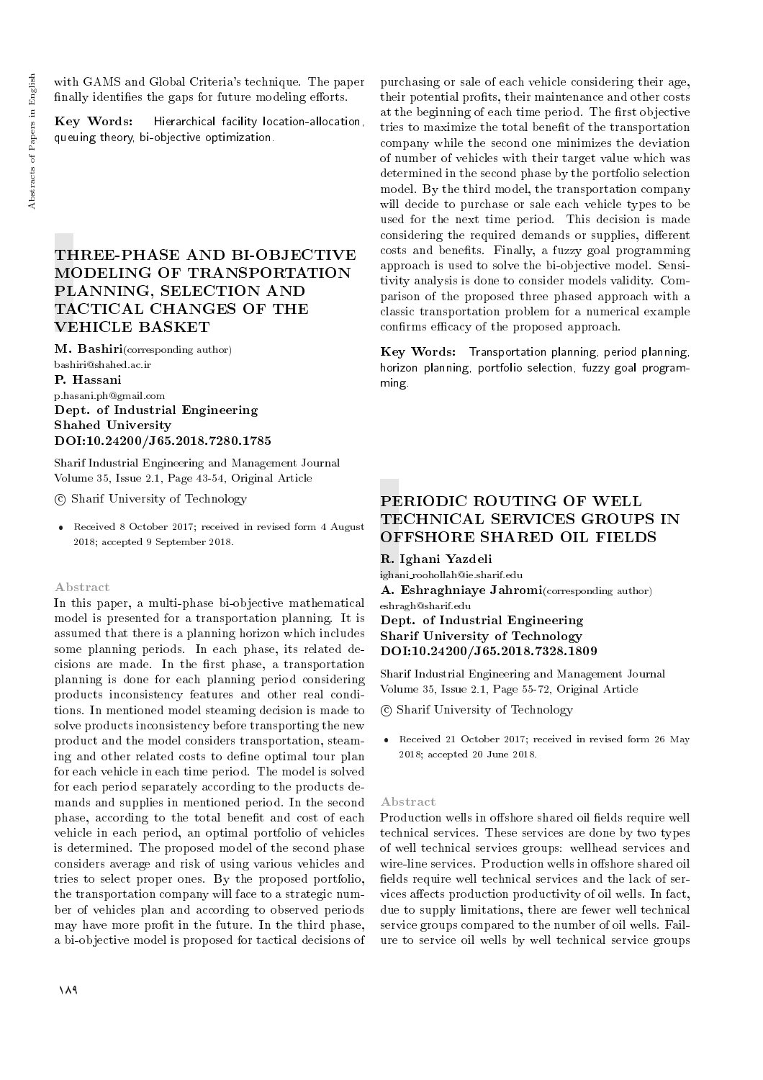with GAMS and Global Criteria's technique. The paper finally identifies the gaps for future modeling efforts.

Key Words: Hierarchical facility location-allocation, queuing theory, bi-objective optimization.

# THREE-PHASE AND BI-OBJECTIVE MODELING OF TRANSPORTATION PLANNING, SELECTION AND TACTICAL CHANGES OF THE VEHICLE BASKET

M. Bashiri(corresponding author) bashiri@shahed.ac.ir

P. Hassani p.hasani.ph@gmail.com Dept. of Industrial Engineering Shahed University DOI:10.24200/J65.2018.7280.1785

Sharif Industrial Engineering and Management Journal Volume 35, Issue 2.1, Page 43-54, Original Article

c Sharif University of Technology

 Received 8 October 2017; received in revised form 4 August 2018; accepted 9 September 2018.

#### Abstract

In this paper, a multi-phase bi-objective mathematical model is presented for a transportation planning. It is assumed that there is a planning horizon which includes some planning periods. In each phase, its related decisions are made. In the first phase, a transportation planning is done for each planning period considering products inconsistency features and other real conditions. In mentioned model steaming decision is made to solve products inconsistency before transporting the new product and the model considers transportation, steaming and other related costs to dene optimal tour plan for each vehicle in each time period. The model is solved for each period separately according to the products demands and supplies in mentioned period. In the second phase, according to the total benefit and cost of each vehicle in each period, an optimal portfolio of vehicles is determined. The proposed model of the second phase considers average and risk of using various vehicles and tries to select proper ones. By the proposed portfolio, the transportation company will face to a strategic number of vehicles plan and according to observed periods may have more profit in the future. In the third phase, a bi-objective model is proposed for tactical decisions of

purchasing or sale of each vehicle considering their age, their potential profits, their maintenance and other costs at the beginning of each time period. The first objective tries to maximize the total benet of the transportation company while the second one minimizes the deviation of number of vehicles with their target value which was determined in the second phase by the portfolio selection model. By the third model, the transportation company will decide to purchase or sale each vehicle types to be used for the next time period. This decision is made considering the required demands or supplies, different costs and benets. Finally, a fuzzy goal programming approach is used to solve the bi-objective model. Sensitivity analysis is done to consider models validity. Comparison of the proposed three phased approach with a classic transportation problem for a numerical example confirms efficacy of the proposed approach.

Key Words: Transportation planning, period planning, horizon planning, portfolio selection, fuzzy goal programming.

# PERIODIC ROUTING OF WELL TECHNICAL SERVICES GROUPS IN OFFSHORE SHARED OIL FIELDS

R. Ighani Yazdeli

ighani roohollah@ie.sharif.edu

A. Eshraghniaye Jahromi(corresponding author) eshragh@sharif.edu

Dept. of Industrial Engineering Sharif University of Technology DOI:10.24200/J65.2018.7328.1809

Sharif Industrial Engineering and Management Journal Volume 35, Issue 2.1, Page 55-72, Original Article

c Sharif University of Technology

 Received 21 October 2017; received in revised form 26 May 2018; accepted 20 June 2018.

### Abstract

Production wells in offshore shared oil fields require well technical services. These services are done by two types of well technical services groups: wellhead services and wire-line services. Production wells in offshore shared oil fields require well technical services and the lack of services affects production productivity of oil wells. In fact, due to supply limitations, there are fewer well technical service groups compared to the number of oil wells. Failure to service oil wells by well technical service groups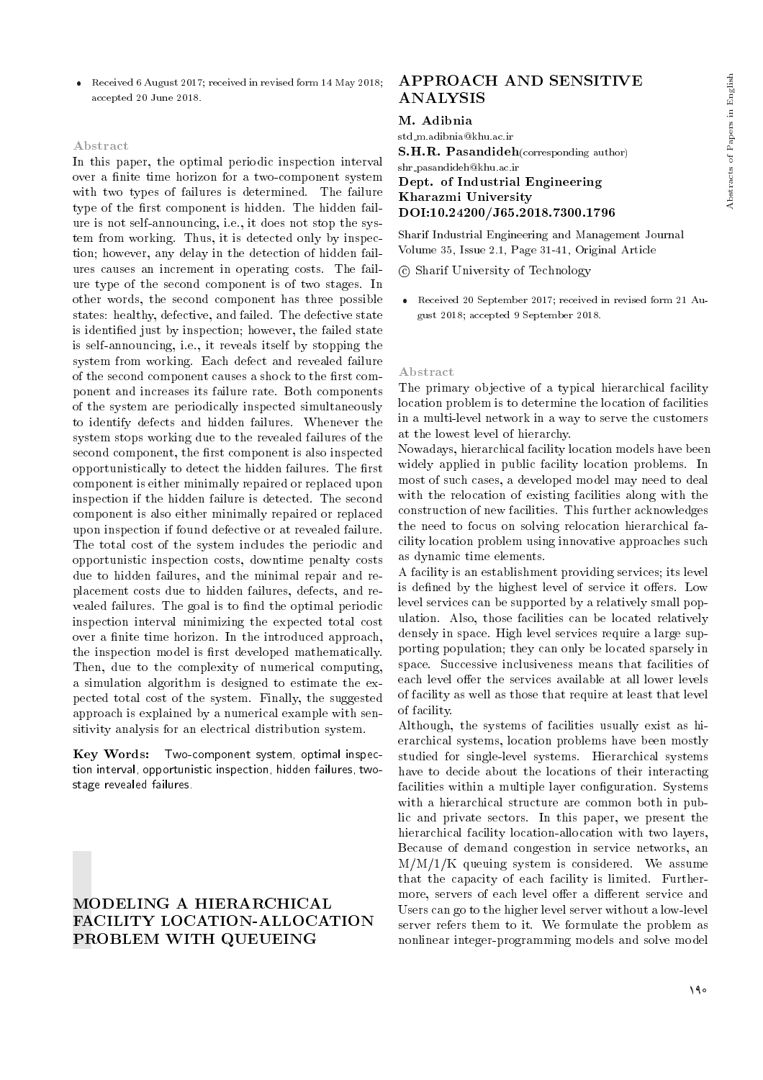Received 6 August 2017; received in revised form 14 May 2018; accepted 20 June 2018.

#### Abstract

In this paper, the optimal periodic inspection interval over a finite time horizon for a two-component system with two types of failures is determined. The failure type of the first component is hidden. The hidden failure is not self-announcing, i.e., it does not stop the system from working. Thus, it is detected only by inspection; however, any delay in the detection of hidden failures causes an increment in operating costs. The failure type of the second component is of two stages. In other words, the second component has three possible states: healthy, defective, and failed. The defective state is identied just by inspection; however, the failed state is self-announcing, i.e., it reveals itself by stopping the system from working. Each defect and revealed failure of the second component causes a shock to the first component and increases its failure rate. Both components of the system are periodically inspected simultaneously to identify defects and hidden failures. Whenever the system stops working due to the revealed failures of the second component, the first component is also inspected opportunistically to detect the hidden failures. The first component is either minimally repaired or replaced upon inspection if the hidden failure is detected. The second component is also either minimally repaired or replaced upon inspection if found defective or at revealed failure. The total cost of the system includes the periodic and opportunistic inspection costs, downtime penalty costs due to hidden failures, and the minimal repair and replacement costs due to hidden failures, defects, and revealed failures. The goal is to find the optimal periodic inspection interval minimizing the expected total cost over a finite time horizon. In the introduced approach, the inspection model is first developed mathematically. Then, due to the complexity of numerical computing, a simulation algorithm is designed to estimate the expected total cost of the system. Finally, the suggested approach is explained by a numerical example with sensitivity analysis for an electrical distribution system.

Key Words: Two-component system, optimal inspection interval, opportunistic inspection, hidden failures, twostage revealed failures.

# MODELING A HIERARCHICAL FACILITY LOCATION-ALLOCATION PROBLEM WITH QUEUEING

### APPROACH AND SENSITIVE ANALYSIS

#### M. Adibnia

std m.adibnia@khu.ac.ir

S.H.R. Pasandideh(corresponding author) shr pasandideh@khu.ac.ir Dept. of Industrial Engineering

# Kharazmi University DOI:10.24200/J65.2018.7300.1796

Sharif Industrial Engineering and Management Journal Volume 35, Issue 2.1, Page 31-41, Original Article

c Sharif University of Technology

 Received 20 September 2017; received in revised form 21 August 2018; accepted 9 September 2018.

#### Abstract

The primary objective of a typical hierarchical facility location problem is to determine the location of facilities in a multi-level network in a way to serve the customers at the lowest level of hierarchy.

Nowadays, hierarchical facility location models have been widely applied in public facility location problems. In most of such cases, a developed model may need to deal with the relocation of existing facilities along with the construction of new facilities. This further acknowledges the need to focus on solving relocation hierarchical facility location problem using innovative approaches such as dynamic time elements.

A facility is an establishment providing services; its level is defined by the highest level of service it offers. Low level services can be supported by a relatively small population. Also, those facilities can be located relatively densely in space. High level services require a large supporting population; they can only be located sparsely in space. Successive inclusiveness means that facilities of each level offer the services available at all lower levels of facility as well as those that require at least that level of facility.

Although, the systems of facilities usually exist as hierarchical systems, location problems have been mostly studied for single-level systems. Hierarchical systems have to decide about the locations of their interacting facilities within a multiple layer configuration. Systems with a hierarchical structure are common both in public and private sectors. In this paper, we present the hierarchical facility location-allocation with two layers, Because of demand congestion in service networks, an  $M/M/1/K$  queuing system is considered. We assume that the capacity of each facility is limited. Furthermore, servers of each level offer a different service and Users can go to the higher level server without a low-level server refers them to it. We formulate the problem as nonlinear integer-programming models and solve model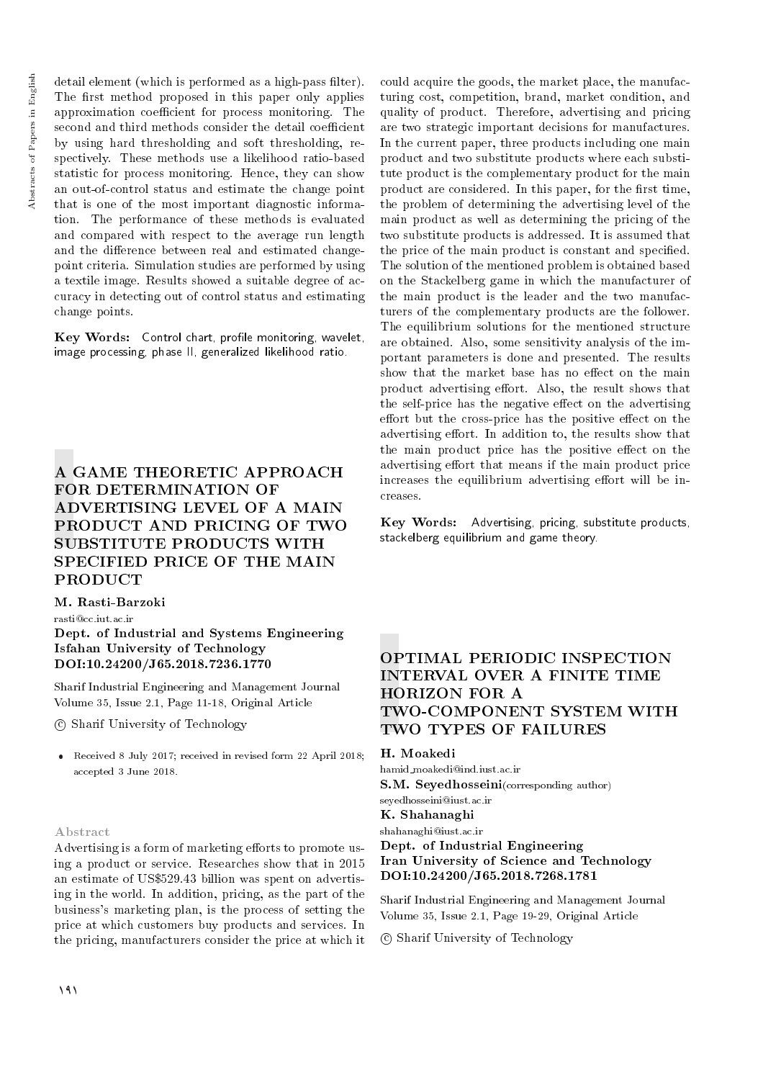detail element (which is performed as a high-pass filter). The first method proposed in this paper only applies approximation coefficient for process monitoring. The second and third methods consider the detail coefficient by using hard thresholding and soft thresholding, respectively. These methods use a likelihood ratio-based statistic for process monitoring. Hence, they can show an out-of-control status and estimate the change point that is one of the most important diagnostic information. The performance of these methods is evaluated and compared with respect to the average run length and the difference between real and estimated changepoint criteria. Simulation studies are performed by using a textile image. Results showed a suitable degree of accuracy in detecting out of control status and estimating change points.

Key Words: Control chart, profile monitoring, wavelet, image processing, phase II, generalized likelihood ratio.

# A GAME THEORETIC APPROACH FOR DETERMINATION OF ADVERTISING LEVEL OF A MAIN PRODUCT AND PRICING OF TWO SUBSTITUTE PRODUCTS WITH SPECIFIED PRICE OF THE MAIN PRODUCT

M. Rasti-Barzoki

rasti@cc.iut.ac.ir

Dept. of Industrial and Systems Engineering Isfahan University of Technology DOI:10.24200/J65.2018.7236.1770

Sharif Industrial Engineering and Management Journal Volume 35, Issue 2.1, Page 11-18, Original Article

c Sharif University of Technology

 Received 8 July 2017; received in revised form 22 April 2018; accepted 3 June 2018.

### Abstract

Advertising is a form of marketing efforts to promote using a product or service. Researches show that in 2015 an estimate of US\$529.43 billion was spent on advertising in the world. In addition, pricing, as the part of the business's marketing plan, is the process of setting the price at which customers buy products and services. In the pricing, manufacturers consider the price at which it could acquire the goods, the market place, the manufacturing cost, competition, brand, market condition, and quality of product. Therefore, advertising and pricing are two strategic important decisions for manufactures. In the current paper, three products including one main product and two substitute products where each substitute product is the complementary product for the main product are considered. In this paper, for the first time, the problem of determining the advertising level of the main product as well as determining the pricing of the two substitute products is addressed. It is assumed that the price of the main product is constant and specified. The solution of the mentioned problem is obtained based on the Stackelberg game in which the manufacturer of the main product is the leader and the two manufacturers of the complementary products are the follower. The equilibrium solutions for the mentioned structure are obtained. Also, some sensitivity analysis of the important parameters is done and presented. The results show that the market base has no effect on the main product advertising effort. Also, the result shows that the self-price has the negative effect on the advertising effort but the cross-price has the positive effect on the advertising effort. In addition to, the results show that the main product price has the positive effect on the advertising effort that means if the main product price increases the equilibrium advertising effort will be increases.

Key Words: Advertising, pricing, substitute products, stackelberg equilibrium and game theory.

# OPTIMAL PERIODIC INSPECTION INTERVAL OVER A FINITE TIME HORIZON FOR A TWO-COMPONENT SYSTEM WITH TWO TYPES OF FAILURES

### H. Moakedi

hamid moakedi@ind.iust.ac.ir S.M. Sevedhosseini(corresponding author) seyedhosseini@iust.ac.ir

K. Shahanaghi

shahanaghi@iust.ac.ir

### Dept. of Industrial Engineering Iran University of Science and Technology DOI:10.24200/J65.2018.7268.1781

Sharif Industrial Engineering and Management Journal Volume 35, Issue 2.1, Page 19-29, Original Article

c Sharif University of Technology